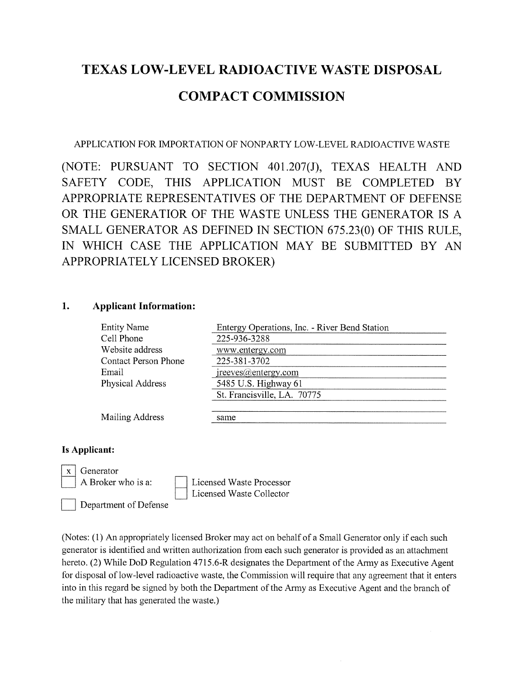## TEXAS LOW-LEVEL RADIOACTIVE WASTE DISPOSAL COMPACT COMMISSION

APPLICATION FOR IMPORTATION Of NONPARTY LOW-LEVEL RADIOACTIVE WASTE

(NOTE: PURSUANT TO SECTION 401.207(J), TEXAS HEALTH AND SAFETY CODE, THIS APPLICATION MUST BE COMPLETED BY APPROPRIATE REPRESENTATIVES OF THE DEPARTMENT Of DEFENSE OR THE GENERATIOR OF THE WASTE UNLESS THE GENERATOR IS A SMALL GENERATOR AS DEFINED IN SECTION 675.23(0) OF THIS RULE, IN WHICH CASE THE APPLICATION MAY BE SUBMITTED BY AN APPROPRIATELY LICENSED BROKER)

## 1. Applicant Information:

| <b>Entity Name</b>          | Entergy Operations, Inc. - River Bend Station |
|-----------------------------|-----------------------------------------------|
| Cell Phone                  | 225-936-3288                                  |
| Website address             | www.entergy.com                               |
| <b>Contact Person Phone</b> | 225-381-3702                                  |
| Email                       | ireeves@entergy.com                           |
| <b>Physical Address</b>     | 5485 U.S. Highway 61                          |
|                             | St. Francisville, LA. 70775                   |
| Mailing Address             | same                                          |
|                             |                                               |

## Is Applicant:



(Notes: (1) An appropriately licensed Broker may act on behalf of a Small Generator only if each such generator is identified and written authorization from each such generator is provided as an attachment hereto. (2) While DoD Regulation 4715.6-R designates the Department of the Army as Executive Agent for disposal of low-level radioactive waste, the Commission will require that any agreement that it enters into in this regard be signed by both the Department of the Army as Executive Agent and the branch of the military that has generated the waste.)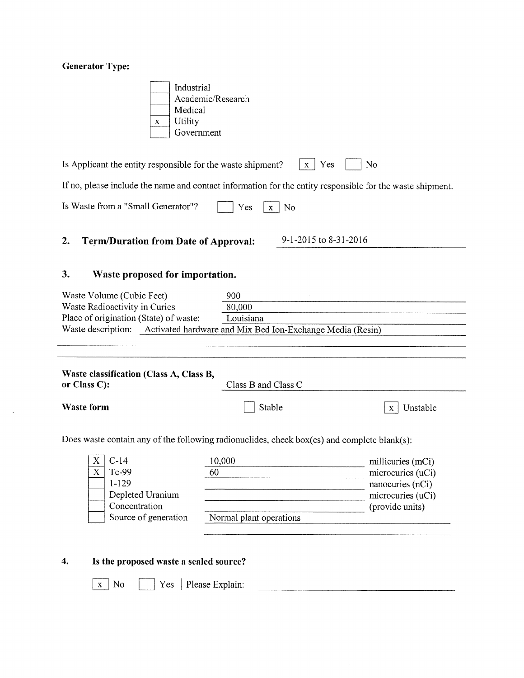## Generator Type:

| Industrial        |
|-------------------|
| Academic/Research |
| Medical           |
| Utility           |
| Government        |

Is Applicant the entity responsible for the waste shipment?  $\boxed{x}$  Yes  $\boxed{\phantom{x}}$  No

If no, please include the name and contact information for the entity responsible for the waste shipment.

## 2. Term/Duration from Date of Approval: 9-1-2015 to 8-31-2016

## 3. Waste proposed for importation.

| Waste Volume (Cubic Feet)              | 900                                                       |
|----------------------------------------|-----------------------------------------------------------|
| Waste Radioactivity in Curies          | 80,000                                                    |
| Place of origination (State) of waste: | Louisiana                                                 |
| Waste description:                     | Activated hardware and Mix Bed Ion-Exchange Media (Resin) |

| Waste classification (Class A, Class B, |                     |
|-----------------------------------------|---------------------|
| or Class $C$ :                          | Class B and Class C |

Waste form  $\vert$  Stable  $\vert x \vert$  Unstable

Does waste contain any of the following radionuclides, check box(es) and complete blank(s):

| $C-14$               | 10,000                  | millicuries (mCi) |
|----------------------|-------------------------|-------------------|
| Tc-99                | 60                      | microcuries (uCi) |
| 1-129                |                         | nanocuries (nCi)  |
| Depleted Uranium     |                         | microcuries (uCi) |
| Concentration        |                         | (provide units)   |
| Source of generation | Normal plant operations |                   |
|                      |                         |                   |

# 4. Is the proposed waste a sealed source? proposed waste a sealed source:<br>No  $\Box$  Yes | Please Explain: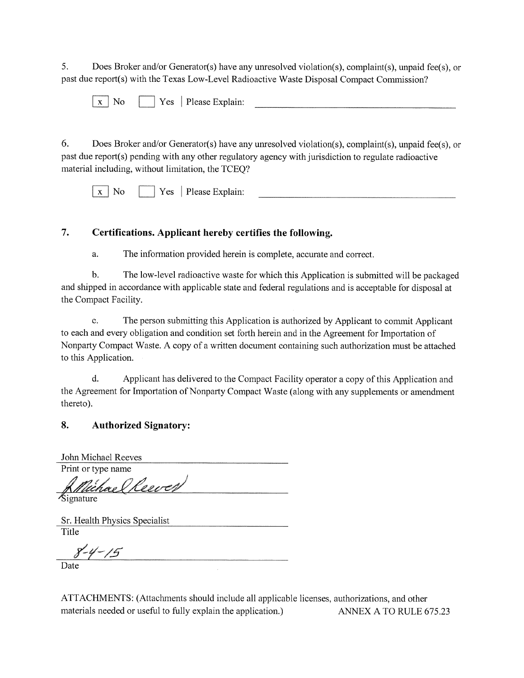5. Does Broker and/or Generator(s) have any unresolved violation(s), complaint(s), unpaid fee(s), or past due report(s) with the Texas Low-Level Radioactive Waste Disposal Compact Commission?

| ___<br>$\mathbf{v}$<br>. . | $\alpha$ | ורד<br>'lease Explain:<br>∼<br>$\sim$ |  |
|----------------------------|----------|---------------------------------------|--|
|                            |          |                                       |  |

6. Does Broker and/or Generator(s) have any unresolved violation(s), complaint(s), unpaid fee(s), or past due report(s) pending with any other regulatory agency with jurisdiction to regulate radioactive material including, without limitation, the TCEQ?

 $\vert x \vert$  No  $\vert y \vert$  Yes  $\vert$  Please Explain:

## 7. Certifications. Applicant hereby certifies the following.

a. The information provided herein is complete, accurate and correct.

b. The low-level radioactive waste for which this Application is submitted will be packaged and shipped in accordance with applicable state and federal regulations and is acceptable for disposal at the Compact Facility.

c. The person submitting this Application is authorized by Applicant to commit Applicant to each and every obligation and condition set forth herein and in the Agreement for Importation of Nonparty Compact Waste. A copy of a written document containing such authorization must be attached to this Application.

d. Applicant has delivered to the Compact facility operator a copy of this Application and the Agreement for Importation of Nonparty Compact Waste (along with any supplements or amendment thereto).

## 8. Authorized Signatory:

Jolm Michael Reeves Print or type name

ael Reever Signature

Sr. Health Physics Specialist **Title** 

 $8 - 4 - 15$ 

Date

ATTACHMENTS: (Attachments should include all applicable licenses, authorizations, and other materials needed or useful to fully explain the application.) ANNEX A TO RULE 675.23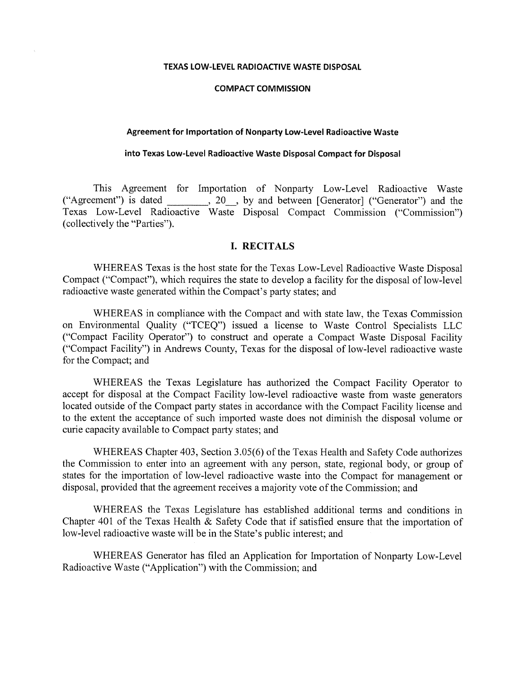#### TEXAS LOW-LEVEL RADIOACTIVE WASTE DISPOSAL

#### COMPACT COMMISSION

#### Agreement for Importation of Nonparty Low-Level Radioactive Waste

#### into Texas Low-Level Radioactive Waste Disposal Compact for Disposal

This Agreement for Importation of Nonparty Low-Level Radioactive Waste "Agreement") is dated \_\_\_\_\_\_\_, 20\_\_, by and between [Generator] ("Generator") and the Texas Low-Level Radioactive Waste Disposal Compact Commission ("Commission") (collectively the "Parties").

### I. RECITALS

WHEREAS Texas is the host state for the Texas Low-Level Radioactive Waste Disposal Compact ("Compact"), which requires the state to develop a facility for the disposal of low-level radioactive waste generated within the Compact's party states; and

WHEREAS in compliance with the Compact and with state law, the Texas Commission on Environmental Quality ("TCEQ") issued a license to Waste Control Specialists LLC ("Compact facility Operator") to construct and operate a Compact Waste Disposal Facility ("Compact Facility") in Andrews County, Texas for the disposal of low-level radioactive waste for the Compact; and

WHEREAS the Texas Legislature has authorized the Compact facility Operator to accept for disposal at the Compact facility low-level radioactive waste from waste generators located outside of the Compact party states in accordance with the Compact Facility license and to the extent the acceptance of such imported waste does not diminish the disposal volume or curie capacity available to Compact party states; and

WHEREAS Chapter 403, Section 3.05(6) of the Texas Health and Safety Code authorizes the Commission to enter into an agreement with any person, state, regional body, or group of states for the importation of low-level radioactive waste into the Compact for management or disposal, provided that the agreement receives a majority vote of the Commission; and

WHEREAS the Texas Legislature has established additional terms and conditions in Chapter 401 of the Texas Health & Safety Code that if satisfied ensure that the importation of low-level radioactive waste will be in the State's public interest; and

WHEREAS Generator has filed an Application for Importation of Nonparty Low-Level Radioactive Waste ("Application") with the Commission; and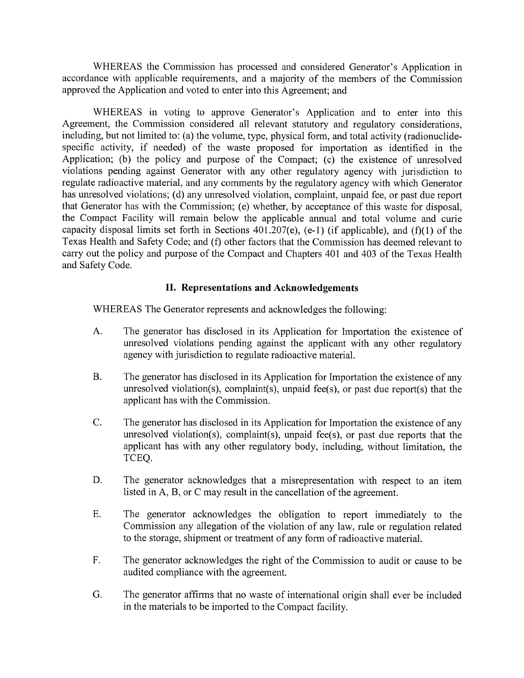WHEREAS the Commission has processed and considered Generator's Application in accordance with applicable requirements, and a majority of the members of the Commission approved the Application and voted to enter into this Agreement; and

WHEREAS in voting to approve Generator's Application and to enter into this Agreement, the Commission considered all relevant statutory and regulatory considerations, including, but not limited to: (a) the volume, type, physical form, and total activity (radionuclide specific activity, if needed) of the waste proposed for importation as identified in the Application; (b) the policy and purpose of the Compact; (c) the existence of unresolved violations pending against Generator with any other regulatory agency with jurisdiction to regulate radioactive material, and any comments by the regulatory agency with which Generator has unresolved violations; (d) any unresolved violation, complaint, unpaid fee, or past due report that Generator has with the Commission; (e) whether, by acceptance of this waste for disposal, the Compact Facility will remain below the applicable annual and total volume and curie capacity disposal limits set forth in Sections  $401.207(e)$ , (e-1) (if applicable), and (f)(1) of the Texas Health and Safety Code; and (f) other factors that the Commission has deemed relevant to carry out the policy and purpose of the Compact and Chapters 401 and 403 of the Texas Health and Safety Code.

## II. Representations and Acknowledgements

WHEREAS The Generator represents and acknowledges the following:

- A. The generator has disclosed in its Application for Importation the existence of unresolved violations pending against the applicant with any other regulatory agency with jurisdiction to regulate radioactive material.
- B. The generator has disclosed in its Application for Importation the existence of any unresolved violation(s), complaint(s), unpaid fee(s), or past due report(s) that the applicant has with the Commission.
- C. The generator has disclosed in its Application for Importation the existence of any unresolved violation(s), complaint(s), unpaid fee(s), or past due reports that the applicant has with any other regulatory body, including, without limitation, the TCEQ.
- D. The generator acknowledges that a misrepresentation with respect to an item listed in A, B, or C may result in the cancellation of the agreement.
- E. The generator acknowledges the obligation to report immediately to the Commission any allegation of the violation of any law, rule or regulation related to the storage, shipment or treatment of any form of radioactive material.
- F. The generator acknowledges the right of the Commission to audit or cause to be audited compliance with the agreement.
- G. The generator affirms that no waste of international origin shall ever be included in the materials to be imported to the Compact facility.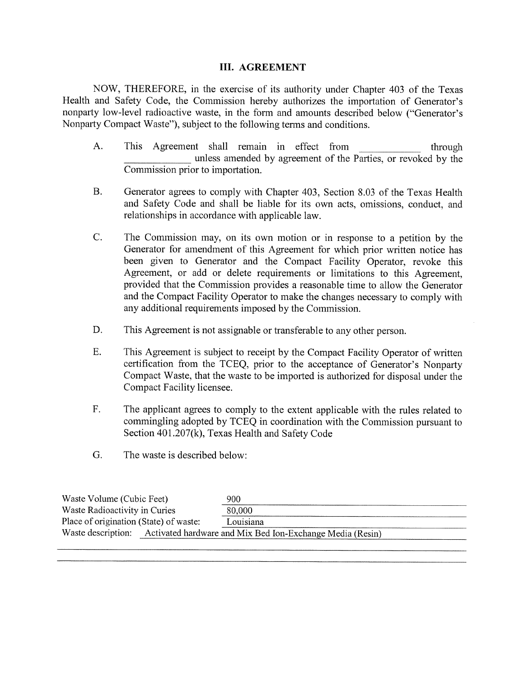## III. AGREEMENT

NOW, THEREFORE, in the exercise of its authority under Chapter 403 of the Texas Health and Safety Code, the Commission hereby authorizes the importation of Generator's nonparty low-level radioactive waste, in the form and amounts described below ("Generator's Nonparty Compact Waste"), subject to the following terms and conditions.

- A. This Agreement shall remain in effect from through unless amended by agreement of the Parties, or revoked by the Commission prior to importation.
- B. Generator agrees to comply with Chapter 403, Section 8.03 of the Texas Health and Safety Code and shall be liable for its own acts, omissions, conduct, and relationships in accordance with applicable law.
- C. The Commission may, on its own motion or in response to a petition by the Generator for amendment of this Agreement for which prior written notice has been given to Generator and the Compact facility Operator, revoke this Agreement, or add or delete requirements or limitations to this Agreement, provided that the Commission provides a reasonable time to allow the Generator and the Compact Facility Operator to make the changes necessary to comply with any additional requirements imposed by the Commission.
- D. This Agreement is not assignable or transferable to any other person.
- E. This Agreement is subject to receipt by the Compact Facility Operator of written certification from the TCEQ, prior to the acceptance of Generator's Nonparty Compact Waste, that the waste to be imported is authorized for disposal under the Compact Facility licensee.
- F. The applicant agrees to comply to the extent applicable with the rules related to commingling adopted by TCEQ in coordination with the Commission pursuant to Section 401.207(k), Texas Health and Safety Code
- G. The waste is described below:

| Waste Volume (Cubic Feet)              | 900                                                       |  |
|----------------------------------------|-----------------------------------------------------------|--|
| Waste Radioactivity in Curies          | 80,000                                                    |  |
| Place of origination (State) of waste: | Louisiana                                                 |  |
| Waste description:                     | Activated hardware and Mix Bed Ion-Exchange Media (Resin) |  |